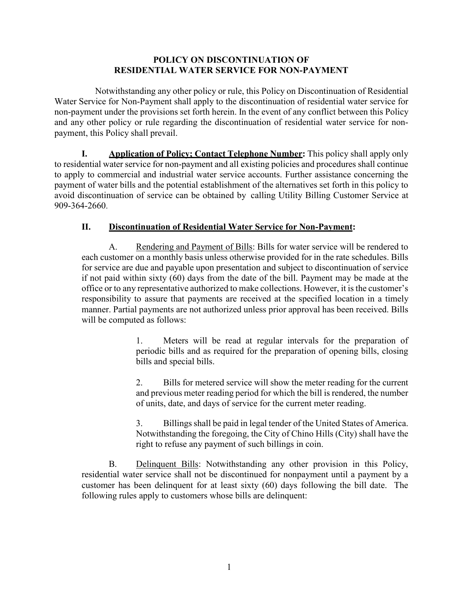## **POLICY ON DISCONTINUATION OF RESIDENTIAL WATER SERVICE FOR NON-PAYMENT**

Notwithstanding any other policy or rule, this Policy on Discontinuation of Residential Water Service for Non-Payment shall apply to the discontinuation of residential water service for non-payment under the provisions set forth herein. In the event of any conflict between this Policy and any other policy or rule regarding the discontinuation of residential water service for nonpayment, this Policy shall prevail.

**I. Application of Policy; Contact Telephone Number:** This policy shall apply only to residential water service for non-payment and all existing policies and procedures shall continue to apply to commercial and industrial water service accounts. Further assistance concerning the payment of water bills and the potential establishment of the alternatives set forth in this policy to avoid discontinuation of service can be obtained by calling Utility Billing Customer Service at 909-364-2660.

## **II. Discontinuation of Residential Water Service for Non-Payment:**

A. Rendering and Payment of Bills: Bills for water service will be rendered to each customer on a monthly basis unless otherwise provided for in the rate schedules. Bills for service are due and payable upon presentation and subject to discontinuation of service if not paid within sixty (60) days from the date of the bill. Payment may be made at the office or to any representative authorized to make collections. However, it is the customer's responsibility to assure that payments are received at the specified location in a timely manner. Partial payments are not authorized unless prior approval has been received. Bills will be computed as follows:

> 1. Meters will be read at regular intervals for the preparation of periodic bills and as required for the preparation of opening bills, closing bills and special bills.

> 2. Bills for metered service will show the meter reading for the current and previous meter reading period for which the bill is rendered, the number of units, date, and days of service for the current meter reading.

> 3. Billings shall be paid in legal tender of the United States of America. Notwithstanding the foregoing, the City of Chino Hills (City) shall have the right to refuse any payment of such billings in coin.

B. Delinquent Bills: Notwithstanding any other provision in this Policy, residential water service shall not be discontinued for nonpayment until a payment by a customer has been delinquent for at least sixty (60) days following the bill date. The following rules apply to customers whose bills are delinquent: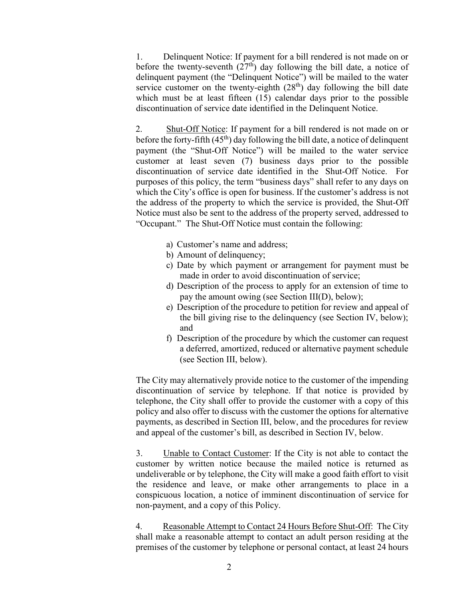1. Delinquent Notice: If payment for a bill rendered is not made on or before the twenty-seventh  $(27<sup>th</sup>)$  day following the bill date, a notice of delinquent payment (the "Delinquent Notice") will be mailed to the water service customer on the twenty-eighth  $(28<sup>th</sup>)$  day following the bill date which must be at least fifteen (15) calendar days prior to the possible discontinuation of service date identified in the Delinquent Notice.

2. Shut-Off Notice: If payment for a bill rendered is not made on or before the forty-fifth  $(45<sup>th</sup>)$  day following the bill date, a notice of delinquent payment (the "Shut-Off Notice") will be mailed to the water service customer at least seven (7) business days prior to the possible discontinuation of service date identified in the Shut-Off Notice. For purposes of this policy, the term "business days" shall refer to any days on which the City's office is open for business. If the customer's address is not the address of the property to which the service is provided, the Shut-Off Notice must also be sent to the address of the property served, addressed to "Occupant." The Shut-Off Notice must contain the following:

- a) Customer's name and address;
- b) Amount of delinquency;
- c) Date by which payment or arrangement for payment must be made in order to avoid discontinuation of service;
- d) Description of the process to apply for an extension of time to pay the amount owing (see Section III(D), below);
- e) Description of the procedure to petition for review and appeal of the bill giving rise to the delinquency (see Section IV, below); and
- f) Description of the procedure by which the customer can request a deferred, amortized, reduced or alternative payment schedule (see Section III, below).

The City may alternatively provide notice to the customer of the impending discontinuation of service by telephone. If that notice is provided by telephone, the City shall offer to provide the customer with a copy of this policy and also offer to discuss with the customer the options for alternative payments, as described in Section III, below, and the procedures for review and appeal of the customer's bill, as described in Section IV, below.

3. Unable to Contact Customer: If the City is not able to contact the customer by written notice because the mailed notice is returned as undeliverable or by telephone, the City will make a good faith effort to visit the residence and leave, or make other arrangements to place in a conspicuous location, a notice of imminent discontinuation of service for non-payment, and a copy of this Policy.

4. Reasonable Attempt to Contact 24 Hours Before Shut-Off: The City shall make a reasonable attempt to contact an adult person residing at the premises of the customer by telephone or personal contact, at least 24 hours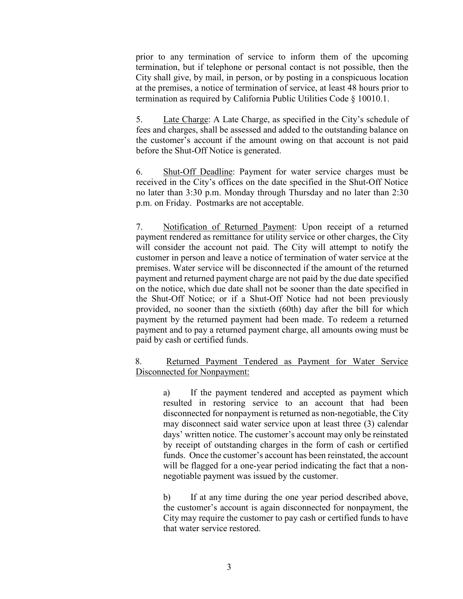prior to any termination of service to inform them of the upcoming termination, but if telephone or personal contact is not possible, then the City shall give, by mail, in person, or by posting in a conspicuous location at the premises, a notice of termination of service, at least 48 hours prior to termination as required by California Public Utilities Code § 10010.1.

5. Late Charge: A Late Charge, as specified in the City's schedule of fees and charges, shall be assessed and added to the outstanding balance on the customer's account if the amount owing on that account is not paid before the Shut-Off Notice is generated.

6. Shut-Off Deadline: Payment for water service charges must be received in the City's offices on the date specified in the Shut-Off Notice no later than 3:30 p.m. Monday through Thursday and no later than 2:30 p.m. on Friday. Postmarks are not acceptable.

7. Notification of Returned Payment: Upon receipt of a returned payment rendered as remittance for utility service or other charges, the City will consider the account not paid. The City will attempt to notify the customer in person and leave a notice of termination of water service at the premises. Water service will be disconnected if the amount of the returned payment and returned payment charge are not paid by the due date specified on the notice, which due date shall not be sooner than the date specified in the Shut-Off Notice; or if a Shut-Off Notice had not been previously provided, no sooner than the sixtieth (60th) day after the bill for which payment by the returned payment had been made. To redeem a returned payment and to pay a returned payment charge, all amounts owing must be paid by cash or certified funds.

## 8. Returned Payment Tendered as Payment for Water Service Disconnected for Nonpayment:

a) If the payment tendered and accepted as payment which resulted in restoring service to an account that had been disconnected for nonpayment is returned as non-negotiable, the City may disconnect said water service upon at least three (3) calendar days' written notice. The customer's account may only be reinstated by receipt of outstanding charges in the form of cash or certified funds. Once the customer's account has been reinstated, the account will be flagged for a one-year period indicating the fact that a nonnegotiable payment was issued by the customer.

b) If at any time during the one year period described above, the customer's account is again disconnected for nonpayment, the City may require the customer to pay cash or certified funds to have that water service restored.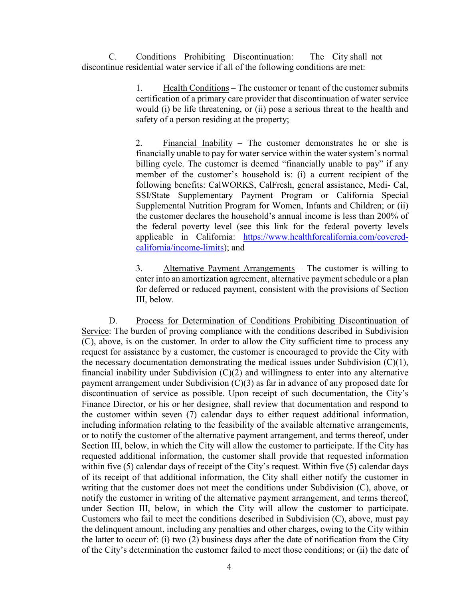C. Conditions Prohibiting Discontinuation: The City shall not discontinue residential water service if all of the following conditions are met:

> 1. Health Conditions – The customer or tenant of the customer submits certification of a primary care provider that discontinuation of water service would (i) be life threatening, or (ii) pose a serious threat to the health and safety of a person residing at the property;

> 2. Financial Inability – The customer demonstrates he or she is financially unable to pay for water service within the water system's normal billing cycle. The customer is deemed "financially unable to pay" if any member of the customer's household is: (i) a current recipient of the following benefits: CalWORKS, CalFresh, general assistance, Medi- Cal, SSI/State Supplementary Payment Program or California Special Supplemental Nutrition Program for Women, Infants and Children; or (ii) the customer declares the household's annual income is less than 200% of the federal poverty level (see this link for the federal poverty levels applicable in California: [https://www.healthforcalifornia.com/covered](https://www.healthforcalifornia.com/covered-california/income-limits)[california/income-limits\)](https://www.healthforcalifornia.com/covered-california/income-limits); and

> 3. Alternative Payment Arrangements – The customer is willing to enter into an amortization agreement, alternative payment schedule or a plan for deferred or reduced payment, consistent with the provisions of Section III, below.

D. Process for Determination of Conditions Prohibiting Discontinuation of Service: The burden of proving compliance with the conditions described in Subdivision (C), above, is on the customer. In order to allow the City sufficient time to process any request for assistance by a customer, the customer is encouraged to provide the City with the necessary documentation demonstrating the medical issues under Subdivision  $(C)(1)$ , financial inability under Subdivision  $(C)(2)$  and willingness to enter into any alternative payment arrangement under Subdivision (C)(3) as far in advance of any proposed date for discontinuation of service as possible. Upon receipt of such documentation, the City's Finance Director, or his or her designee, shall review that documentation and respond to the customer within seven (7) calendar days to either request additional information, including information relating to the feasibility of the available alternative arrangements, or to notify the customer of the alternative payment arrangement, and terms thereof, under Section III, below, in which the City will allow the customer to participate. If the City has requested additional information, the customer shall provide that requested information within five (5) calendar days of receipt of the City's request. Within five (5) calendar days of its receipt of that additional information, the City shall either notify the customer in writing that the customer does not meet the conditions under Subdivision (C), above, or notify the customer in writing of the alternative payment arrangement, and terms thereof, under Section III, below, in which the City will allow the customer to participate. Customers who fail to meet the conditions described in Subdivision (C), above, must pay the delinquent amount, including any penalties and other charges, owing to the City within the latter to occur of: (i) two (2) business days after the date of notification from the City of the City's determination the customer failed to meet those conditions; or (ii) the date of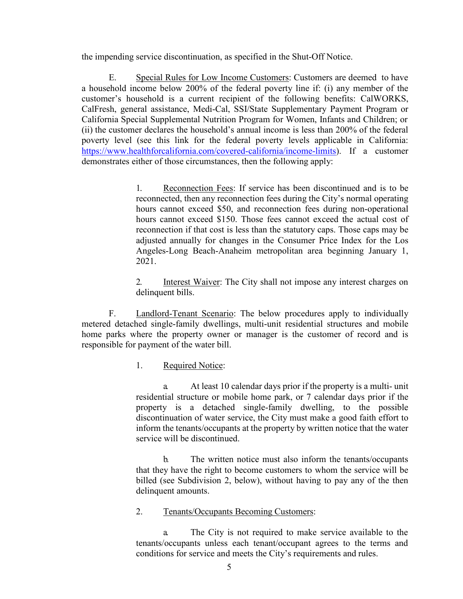the impending service discontinuation, as specified in the Shut-Off Notice.

E. Special Rules for Low Income Customers: Customers are deemed to have a household income below 200% of the federal poverty line if: (i) any member of the customer's household is a current recipient of the following benefits: CalWORKS, CalFresh, general assistance, Medi-Cal, SSI/State Supplementary Payment Program or California Special Supplemental Nutrition Program for Women, Infants and Children; or (ii) the customer declares the household's annual income is less than 200% of the federal poverty level (see this link for the federal poverty levels applicable in California: [https://www.healthforcalifornia.com/covered-california/income-limits\)](https://www.healthforcalifornia.com/covered-california/income-limits). If a customer demonstrates either of those circumstances, then the following apply:

> 1. Reconnection Fees: If service has been discontinued and is to be reconnected, then any reconnection fees during the City's normal operating hours cannot exceed \$50, and reconnection fees during non-operational hours cannot exceed \$150. Those fees cannot exceed the actual cost of reconnection if that cost is less than the statutory caps. Those caps may be adjusted annually for changes in the Consumer Price Index for the Los Angeles-Long Beach-Anaheim metropolitan area beginning January 1, 2021.

> 2. Interest Waiver: The City shall not impose any interest charges on delinquent bills.

F. Landlord-Tenant Scenario: The below procedures apply to individually metered detached single-family dwellings, multi-unit residential structures and mobile home parks where the property owner or manager is the customer of record and is responsible for payment of the water bill.

1. Required Notice:

a. At least 10 calendar days prior if the property is a multi- unit residential structure or mobile home park, or 7 calendar days prior if the property is a detached single-family dwelling, to the possible discontinuation of water service, the City must make a good faith effort to inform the tenants/occupants at the property by written notice that the water service will be discontinued.

b. The written notice must also inform the tenants/occupants that they have the right to become customers to whom the service will be billed (see Subdivision 2, below), without having to pay any of the then delinquent amounts.

## 2. Tenants/Occupants Becoming Customers:

a. The City is not required to make service available to the tenants/occupants unless each tenant/occupant agrees to the terms and conditions for service and meets the City's requirements and rules.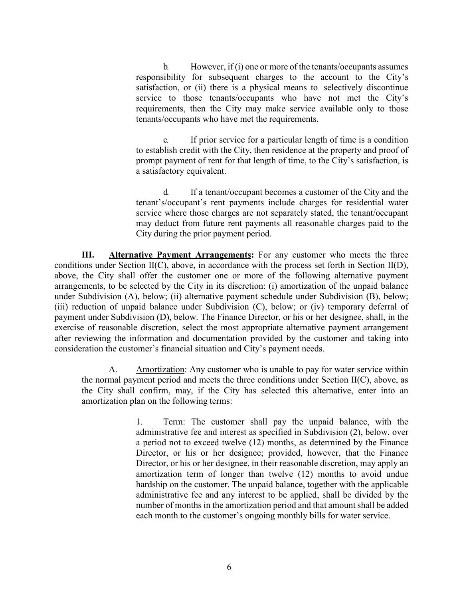b. However, if (i) one or more of the tenants/occupants assumes responsibility for subsequent charges to the account to the City's satisfaction, or (ii) there is a physical means to selectively discontinue service to those tenants/occupants who have not met the City's requirements, then the City may make service available only to those tenants/occupants who have met the requirements.

c. If prior service for a particular length of time is a condition to establish credit with the City, then residence at the property and proof of prompt payment of rent for that length of time, to the City's satisfaction, is a satisfactory equivalent.

d. If a tenant/occupant becomes a customer of the City and the tenant's/occupant's rent payments include charges for residential water service where those charges are not separately stated, the tenant/occupant may deduct from future rent payments all reasonable charges paid to the City during the prior payment period.

**III. Alternative Payment Arrangements:** For any customer who meets the three conditions under Section II(C), above, in accordance with the process set forth in Section II(D), above, the City shall offer the customer one or more of the following alternative payment arrangements, to be selected by the City in its discretion: (i) amortization of the unpaid balance under Subdivision (A), below; (ii) alternative payment schedule under Subdivision (B), below; (iii) reduction of unpaid balance under Subdivision (C), below; or (iv) temporary deferral of payment under Subdivision (D), below. The Finance Director, or his or her designee, shall, in the exercise of reasonable discretion, select the most appropriate alternative payment arrangement after reviewing the information and documentation provided by the customer and taking into consideration the customer's financial situation and City's payment needs.

A. Amortization: Any customer who is unable to pay for water service within the normal payment period and meets the three conditions under Section  $II(C)$ , above, as the City shall confirm, may, if the City has selected this alternative, enter into an amortization plan on the following terms:

> 1. Term: The customer shall pay the unpaid balance, with the administrative fee and interest as specified in Subdivision (2), below, over a period not to exceed twelve (12) months, as determined by the Finance Director, or his or her designee; provided, however, that the Finance Director, or his or her designee, in their reasonable discretion, may apply an amortization term of longer than twelve (12) months to avoid undue hardship on the customer. The unpaid balance, together with the applicable administrative fee and any interest to be applied, shall be divided by the number of months in the amortization period and that amount shall be added each month to the customer's ongoing monthly bills for water service.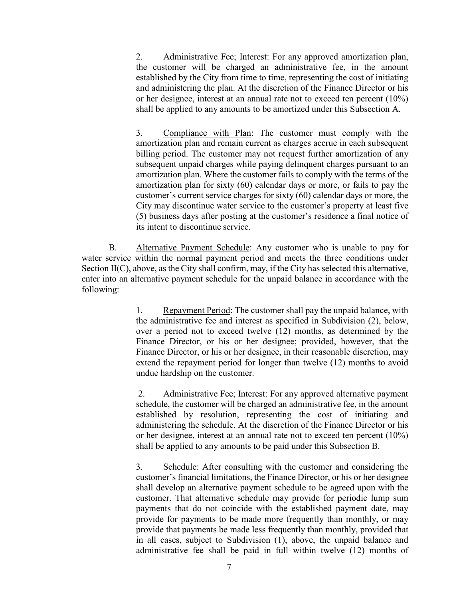2. Administrative Fee; Interest: For any approved amortization plan, the customer will be charged an administrative fee, in the amount established by the City from time to time, representing the cost of initiating and administering the plan. At the discretion of the Finance Director or his or her designee, interest at an annual rate not to exceed ten percent (10%) shall be applied to any amounts to be amortized under this Subsection A.

3. Compliance with Plan: The customer must comply with the amortization plan and remain current as charges accrue in each subsequent billing period. The customer may not request further amortization of any subsequent unpaid charges while paying delinquent charges pursuant to an amortization plan. Where the customer fails to comply with the terms of the amortization plan for sixty (60) calendar days or more, or fails to pay the customer's current service charges for sixty (60) calendar days or more, the City may discontinue water service to the customer's property at least five (5) business days after posting at the customer's residence a final notice of its intent to discontinue service.

B. Alternative Payment Schedule: Any customer who is unable to pay for water service within the normal payment period and meets the three conditions under Section II(C), above, as the City shall confirm, may, if the City has selected this alternative, enter into an alternative payment schedule for the unpaid balance in accordance with the following:

> 1. Repayment Period: The customer shall pay the unpaid balance, with the administrative fee and interest as specified in Subdivision (2), below, over a period not to exceed twelve (12) months, as determined by the Finance Director, or his or her designee; provided, however, that the Finance Director, or his or her designee, in their reasonable discretion, may extend the repayment period for longer than twelve (12) months to avoid undue hardship on the customer.

> 2. Administrative Fee; Interest: For any approved alternative payment schedule, the customer will be charged an administrative fee, in the amount established by resolution, representing the cost of initiating and administering the schedule. At the discretion of the Finance Director or his or her designee, interest at an annual rate not to exceed ten percent (10%) shall be applied to any amounts to be paid under this Subsection B.

> 3. Schedule: After consulting with the customer and considering the customer's financial limitations, the Finance Director, or his or her designee shall develop an alternative payment schedule to be agreed upon with the customer. That alternative schedule may provide for periodic lump sum payments that do not coincide with the established payment date, may provide for payments to be made more frequently than monthly, or may provide that payments be made less frequently than monthly, provided that in all cases, subject to Subdivision (1), above, the unpaid balance and administrative fee shall be paid in full within twelve (12) months of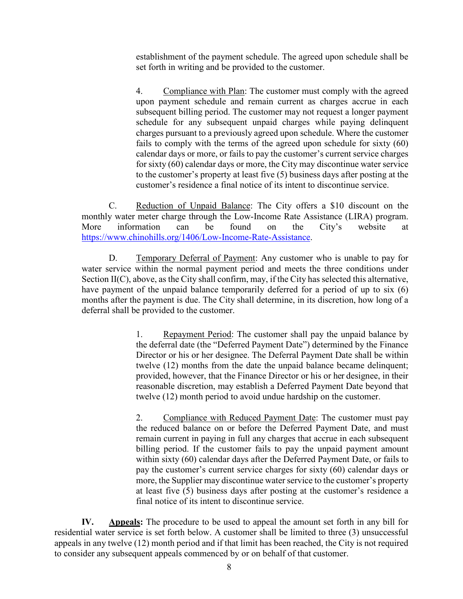establishment of the payment schedule. The agreed upon schedule shall be set forth in writing and be provided to the customer.

4. Compliance with Plan: The customer must comply with the agreed upon payment schedule and remain current as charges accrue in each subsequent billing period. The customer may not request a longer payment schedule for any subsequent unpaid charges while paying delinquent charges pursuant to a previously agreed upon schedule. Where the customer fails to comply with the terms of the agreed upon schedule for sixty (60) calendar days or more, or fails to pay the customer's current service charges for sixty (60) calendar days or more, the City may discontinue water service to the customer's property at least five (5) business days after posting at the customer's residence a final notice of its intent to discontinue service.

C. Reduction of Unpaid Balance: The City offers a \$10 discount on the monthly water meter charge through the Low-Income Rate Assistance (LIRA) program. More information can be found on the City's website at [https://www.chinohills.org/1406/Low-Income-Rate-Assistance.](https://www.chinohills.org/1406/Low-Income-Rate-Assistance)

D. Temporary Deferral of Payment: Any customer who is unable to pay for water service within the normal payment period and meets the three conditions under Section II(C), above, as the City shall confirm, may, if the City has selected this alternative, have payment of the unpaid balance temporarily deferred for a period of up to six (6) months after the payment is due. The City shall determine, in its discretion, how long of a deferral shall be provided to the customer.

> 1. Repayment Period: The customer shall pay the unpaid balance by the deferral date (the "Deferred Payment Date") determined by the Finance Director or his or her designee. The Deferral Payment Date shall be within twelve (12) months from the date the unpaid balance became delinquent; provided, however, that the Finance Director or his or her designee, in their reasonable discretion, may establish a Deferred Payment Date beyond that twelve (12) month period to avoid undue hardship on the customer.

> 2. Compliance with Reduced Payment Date: The customer must pay the reduced balance on or before the Deferred Payment Date, and must remain current in paying in full any charges that accrue in each subsequent billing period. If the customer fails to pay the unpaid payment amount within sixty (60) calendar days after the Deferred Payment Date, or fails to pay the customer's current service charges for sixty (60) calendar days or more, the Supplier may discontinue water service to the customer's property at least five (5) business days after posting at the customer's residence a final notice of its intent to discontinue service.

**IV. Appeals:** The procedure to be used to appeal the amount set forth in any bill for residential water service is set forth below. A customer shall be limited to three (3) unsuccessful appeals in any twelve (12) month period and if that limit has been reached, the City is not required to consider any subsequent appeals commenced by or on behalf of that customer.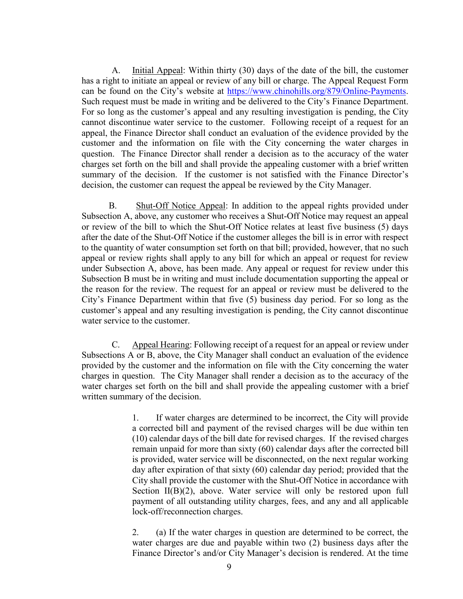A. Initial Appeal: Within thirty (30) days of the date of the bill, the customer has a right to initiate an appeal or review of any bill or charge. The Appeal Request Form can be found on the City's website at [https://www.chinohills.org/879/Online-Payments.](https://www.chinohills.org/879/Online-Payments) Such request must be made in writing and be delivered to the City's Finance Department. For so long as the customer's appeal and any resulting investigation is pending, the City cannot discontinue water service to the customer. Following receipt of a request for an appeal, the Finance Director shall conduct an evaluation of the evidence provided by the customer and the information on file with the City concerning the water charges in question. The Finance Director shall render a decision as to the accuracy of the water charges set forth on the bill and shall provide the appealing customer with a brief written summary of the decision. If the customer is not satisfied with the Finance Director's decision, the customer can request the appeal be reviewed by the City Manager.

B. Shut-Off Notice Appeal: In addition to the appeal rights provided under Subsection A, above, any customer who receives a Shut-Off Notice may request an appeal or review of the bill to which the Shut-Off Notice relates at least five business (5) days after the date of the Shut-Off Notice if the customer alleges the bill is in error with respect to the quantity of water consumption set forth on that bill; provided, however, that no such appeal or review rights shall apply to any bill for which an appeal or request for review under Subsection A, above, has been made. Any appeal or request for review under this Subsection B must be in writing and must include documentation supporting the appeal or the reason for the review. The request for an appeal or review must be delivered to the City's Finance Department within that five (5) business day period. For so long as the customer's appeal and any resulting investigation is pending, the City cannot discontinue water service to the customer.

C. Appeal Hearing: Following receipt of a request for an appeal or review under Subsections A or B, above, the City Manager shall conduct an evaluation of the evidence provided by the customer and the information on file with the City concerning the water charges in question. The City Manager shall render a decision as to the accuracy of the water charges set forth on the bill and shall provide the appealing customer with a brief written summary of the decision.

> 1. If water charges are determined to be incorrect, the City will provide a corrected bill and payment of the revised charges will be due within ten (10) calendar days of the bill date for revised charges. If the revised charges remain unpaid for more than sixty (60) calendar days after the corrected bill is provided, water service will be disconnected, on the next regular working day after expiration of that sixty (60) calendar day period; provided that the City shall provide the customer with the Shut-Off Notice in accordance with Section II(B)(2), above. Water service will only be restored upon full payment of all outstanding utility charges, fees, and any and all applicable lock-off/reconnection charges.

> 2. (a) If the water charges in question are determined to be correct, the water charges are due and payable within two (2) business days after the Finance Director's and/or City Manager's decision is rendered. At the time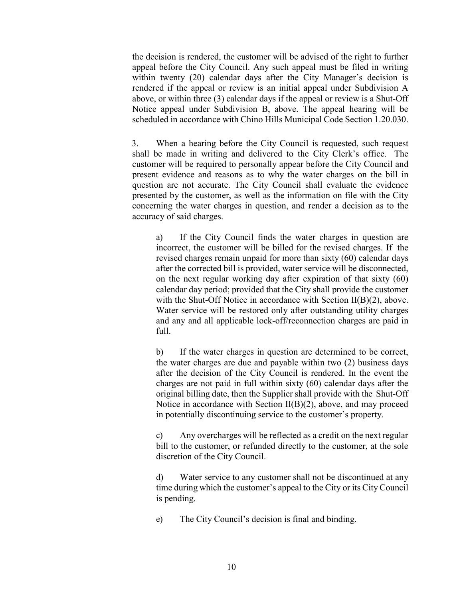the decision is rendered, the customer will be advised of the right to further appeal before the City Council. Any such appeal must be filed in writing within twenty (20) calendar days after the City Manager's decision is rendered if the appeal or review is an initial appeal under Subdivision A above, or within three (3) calendar days if the appeal or review is a Shut-Off Notice appeal under Subdivision B, above. The appeal hearing will be scheduled in accordance with Chino Hills Municipal Code Section 1.20.030.

3. When a hearing before the City Council is requested, such request shall be made in writing and delivered to the City Clerk's office. The customer will be required to personally appear before the City Council and present evidence and reasons as to why the water charges on the bill in question are not accurate. The City Council shall evaluate the evidence presented by the customer, as well as the information on file with the City concerning the water charges in question, and render a decision as to the accuracy of said charges.

a) If the City Council finds the water charges in question are incorrect, the customer will be billed for the revised charges. If the revised charges remain unpaid for more than sixty (60) calendar days after the corrected bill is provided, water service will be disconnected, on the next regular working day after expiration of that sixty (60) calendar day period; provided that the City shall provide the customer with the Shut-Off Notice in accordance with Section II(B)(2), above. Water service will be restored only after outstanding utility charges and any and all applicable lock-off/reconnection charges are paid in full.

b) If the water charges in question are determined to be correct, the water charges are due and payable within two (2) business days after the decision of the City Council is rendered. In the event the charges are not paid in full within sixty (60) calendar days after the original billing date, then the Supplier shall provide with the Shut-Off Notice in accordance with Section II(B)(2), above, and may proceed in potentially discontinuing service to the customer's property.

c) Any overcharges will be reflected as a credit on the next regular bill to the customer, or refunded directly to the customer, at the sole discretion of the City Council.

d) Water service to any customer shall not be discontinued at any time during which the customer's appeal to the City or its City Council is pending.

e) The City Council's decision is final and binding.